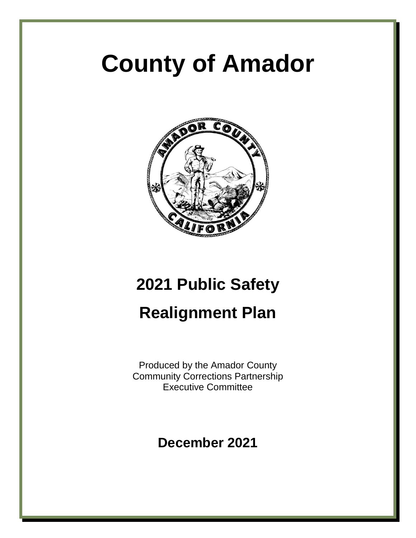# **County of Amador**



# **2021 Public Safety Realignment Plan**

Produced by the Amador County Community Corrections Partnership Executive Committee

**December 2021**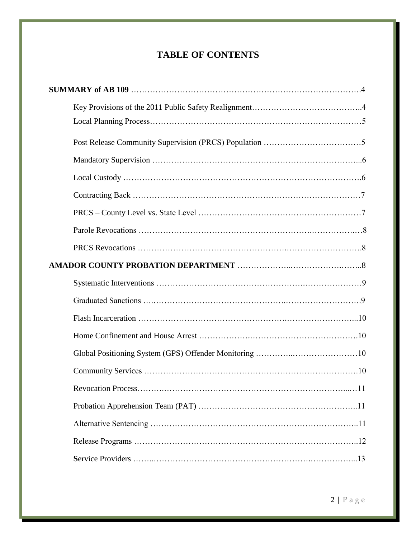# **TABLE OF CONTENTS**

| $\dots$ 11 |
|------------|
|            |
|            |
|            |
|            |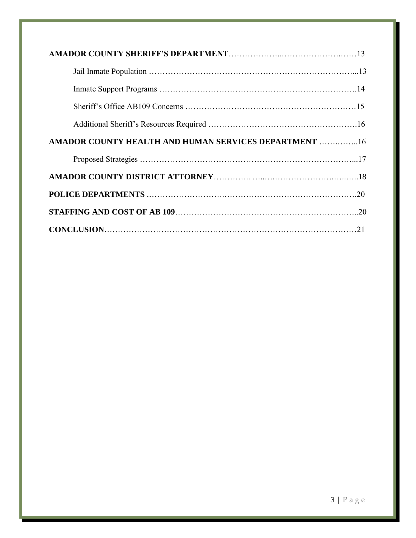| AMADOR COUNTY HEALTH AND HUMAN SERVICES DEPARTMENT  16 |
|--------------------------------------------------------|
|                                                        |
|                                                        |
|                                                        |
|                                                        |
|                                                        |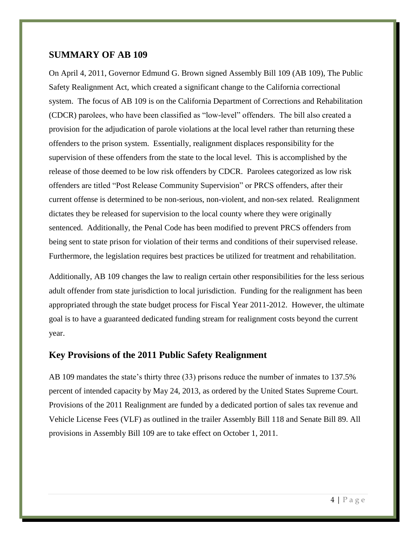#### **SUMMARY OF AB 109**

On April 4, 2011, Governor Edmund G. Brown signed Assembly Bill 109 (AB 109), The Public Safety Realignment Act, which created a significant change to the California correctional system. The focus of AB 109 is on the California Department of Corrections and Rehabilitation (CDCR) parolees, who have been classified as "low-level" offenders. The bill also created a provision for the adjudication of parole violations at the local level rather than returning these offenders to the prison system. Essentially, realignment displaces responsibility for the supervision of these offenders from the state to the local level. This is accomplished by the release of those deemed to be low risk offenders by CDCR. Parolees categorized as low risk offenders are titled "Post Release Community Supervision" or PRCS offenders, after their current offense is determined to be non-serious, non-violent, and non-sex related. Realignment dictates they be released for supervision to the local county where they were originally sentenced. Additionally, the Penal Code has been modified to prevent PRCS offenders from being sent to state prison for violation of their terms and conditions of their supervised release. Furthermore, the legislation requires best practices be utilized for treatment and rehabilitation.

Additionally, AB 109 changes the law to realign certain other responsibilities for the less serious adult offender from state jurisdiction to local jurisdiction. Funding for the realignment has been appropriated through the state budget process for Fiscal Year 2011-2012. However, the ultimate goal is to have a guaranteed dedicated funding stream for realignment costs beyond the current year.

#### **Key Provisions of the 2011 Public Safety Realignment**

AB 109 mandates the state's thirty three (33) prisons reduce the number of inmates to 137.5% percent of intended capacity by May 24, 2013, as ordered by the United States Supreme Court. Provisions of the 2011 Realignment are funded by a dedicated portion of sales tax revenue and Vehicle License Fees (VLF) as outlined in the trailer Assembly Bill 118 and Senate Bill 89. All provisions in Assembly Bill 109 are to take effect on October 1, 2011.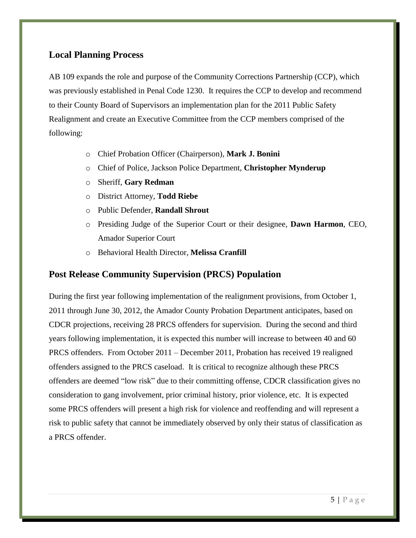#### **Local Planning Process**

AB 109 expands the role and purpose of the Community Corrections Partnership (CCP), which was previously established in Penal Code 1230. It requires the CCP to develop and recommend to their County Board of Supervisors an implementation plan for the 2011 Public Safety Realignment and create an Executive Committee from the CCP members comprised of the following:

- o Chief Probation Officer (Chairperson), **Mark J. Bonini**
- o Chief of Police, Jackson Police Department, **Christopher Mynderup**
- o Sheriff, **Gary Redman**
- o District Attorney, **Todd Riebe**
- o Public Defender, **Randall Shrout**
- o Presiding Judge of the Superior Court or their designee, **Dawn Harmon**, CEO, Amador Superior Court
- o Behavioral Health Director, **Melissa Cranfill**

### **Post Release Community Supervision (PRCS) Population**

During the first year following implementation of the realignment provisions, from October 1, 2011 through June 30, 2012, the Amador County Probation Department anticipates, based on CDCR projections, receiving 28 PRCS offenders for supervision. During the second and third years following implementation, it is expected this number will increase to between 40 and 60 PRCS offenders. From October 2011 – December 2011, Probation has received 19 realigned offenders assigned to the PRCS caseload. It is critical to recognize although these PRCS offenders are deemed "low risk" due to their committing offense, CDCR classification gives no consideration to gang involvement, prior criminal history, prior violence, etc. It is expected some PRCS offenders will present a high risk for violence and reoffending and will represent a risk to public safety that cannot be immediately observed by only their status of classification as a PRCS offender.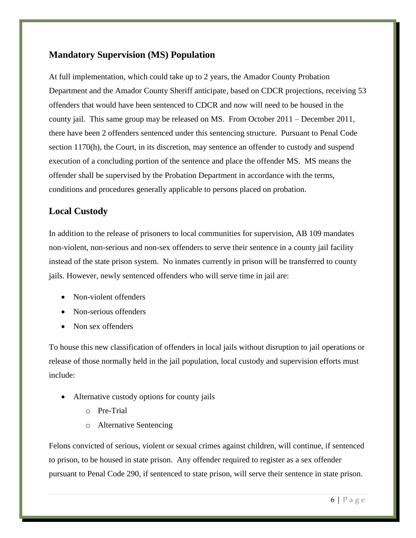# **Mandatory Supervision (MS) Population**

At full implementation, which could take up to 2 years, the Amador County Probation Department and the Amador County Sheriff anticipate, based on CDCR projections, receiving 53 offenders that would have been sentenced to CDCR and now will need to be housed in the county jail. This same group may be released on MS. From October 2011 – December 2011, there have been 2 offenders sentenced under this sentencing structure. Pursuant to Penal Code section 1170(h), the Court, in its discretion, may sentence an offender to custody and suspend execution of a concluding portion of the sentence and place the offender MS. MS means the offender shall be supervised by the Probation Department in accordance with the terms, conditions and procedures generally applicable to persons placed on probation.

# **Local Custody**

In addition to the release of prisoners to local communities for supervision, AB 109 mandates non-violent, non-serious and non-sex offenders to serve their sentence in a county jail facility instead of the state prison system. No inmates currently in prison will be transferred to county jails. However, newly sentenced offenders who will serve time in jail are:

- Non-violent offenders
- Non-serious offenders
- Non sex offenders

To house this new classification of offenders in local jails without disruption to jail operations or release of those normally held in the jail population, local custody and supervision efforts must include:

- Alternative custody options for county jails
	- o Pre-Trial
	- o Alternative Sentencing

Felons convicted of serious, violent or sexual crimes against children, will continue, if sentenced to prison, to be housed in state prison. Any offender required to register as a sex offender pursuant to Penal Code 290, if sentenced to state prison, will serve their sentence in state prison.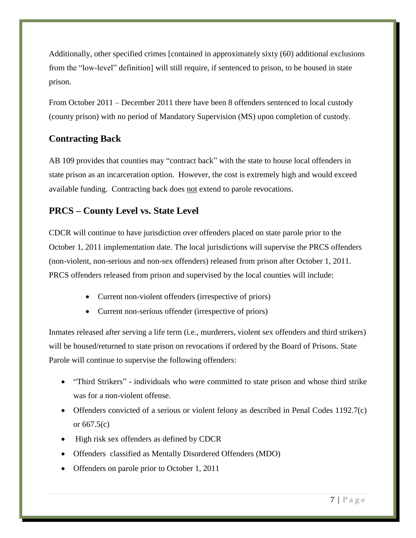Additionally, other specified crimes [contained in approximately sixty (60) additional exclusions from the "low-level" definition] will still require, if sentenced to prison, to be housed in state prison.

From October 2011 – December 2011 there have been 8 offenders sentenced to local custody (county prison) with no period of Mandatory Supervision (MS) upon completion of custody.

# **Contracting Back**

AB 109 provides that counties may "contract back" with the state to house local offenders in state prison as an incarceration option. However, the cost is extremely high and would exceed available funding. Contracting back does not extend to parole revocations.

# **PRCS – County Level vs. State Level**

CDCR will continue to have jurisdiction over offenders placed on state parole prior to the October 1, 2011 implementation date. The local jurisdictions will supervise the PRCS offenders (non-violent, non-serious and non-sex offenders) released from prison after October 1, 2011. PRCS offenders released from prison and supervised by the local counties will include:

- Current non-violent offenders (irrespective of priors)
- Current non-serious offender (irrespective of priors)

Inmates released after serving a life term (i.e., murderers, violent sex offenders and third strikers) will be housed/returned to state prison on revocations if ordered by the Board of Prisons. State Parole will continue to supervise the following offenders:

- "Third Strikers" individuals who were committed to state prison and whose third strike was for a non-violent offense.
- Offenders convicted of a serious or violent felony as described in Penal Codes 1192.7(c) or 667.5(c)
- High risk sex offenders as defined by CDCR
- Offenders classified as Mentally Disordered Offenders (MDO)
- Offenders on parole prior to October 1, 2011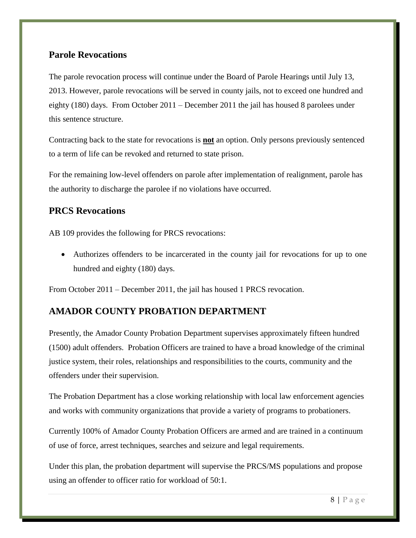#### **Parole Revocations**

The parole revocation process will continue under the Board of Parole Hearings until July 13, 2013. However, parole revocations will be served in county jails, not to exceed one hundred and eighty (180) days. From October 2011 – December 2011 the jail has housed 8 parolees under this sentence structure.

Contracting back to the state for revocations is **not** an option. Only persons previously sentenced to a term of life can be revoked and returned to state prison.

For the remaining low-level offenders on parole after implementation of realignment, parole has the authority to discharge the parolee if no violations have occurred.

### **PRCS Revocations**

AB 109 provides the following for PRCS revocations:

 Authorizes offenders to be incarcerated in the county jail for revocations for up to one hundred and eighty (180) days.

From October 2011 – December 2011, the jail has housed 1 PRCS revocation.

# **AMADOR COUNTY PROBATION DEPARTMENT**

Presently, the Amador County Probation Department supervises approximately fifteen hundred (1500) adult offenders. Probation Officers are trained to have a broad knowledge of the criminal justice system, their roles, relationships and responsibilities to the courts, community and the offenders under their supervision.

The Probation Department has a close working relationship with local law enforcement agencies and works with community organizations that provide a variety of programs to probationers.

Currently 100% of Amador County Probation Officers are armed and are trained in a continuum of use of force, arrest techniques, searches and seizure and legal requirements.

Under this plan, the probation department will supervise the PRCS/MS populations and propose using an offender to officer ratio for workload of 50:1.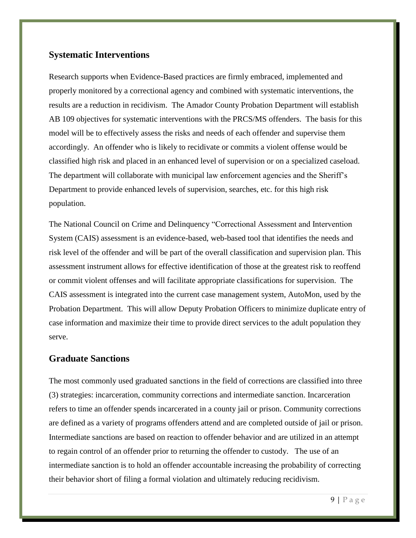# **Systematic Interventions**

Research supports when Evidence-Based practices are firmly embraced, implemented and properly monitored by a correctional agency and combined with systematic interventions, the results are a reduction in recidivism. The Amador County Probation Department will establish AB 109 objectives for systematic interventions with the PRCS/MS offenders. The basis for this model will be to effectively assess the risks and needs of each offender and supervise them accordingly. An offender who is likely to recidivate or commits a violent offense would be classified high risk and placed in an enhanced level of supervision or on a specialized caseload. The department will collaborate with municipal law enforcement agencies and the Sheriff's Department to provide enhanced levels of supervision, searches, etc. for this high risk population.

The National Council on Crime and Delinquency "Correctional Assessment and Intervention System (CAIS) assessment is an evidence-based, web-based tool that identifies the needs and risk level of the offender and will be part of the overall classification and supervision plan. This assessment instrument allows for effective identification of those at the greatest risk to reoffend or commit violent offenses and will facilitate appropriate classifications for supervision. The CAIS assessment is integrated into the current case management system, AutoMon, used by the Probation Department. This will allow Deputy Probation Officers to minimize duplicate entry of case information and maximize their time to provide direct services to the adult population they serve.

#### **Graduate Sanctions**

The most commonly used graduated sanctions in the field of corrections are classified into three (3) strategies: incarceration, community corrections and intermediate sanction. Incarceration refers to time an offender spends incarcerated in a county jail or prison. Community corrections are defined as a variety of programs offenders attend and are completed outside of jail or prison. Intermediate sanctions are based on reaction to offender behavior and are utilized in an attempt to regain control of an offender prior to returning the offender to custody. The use of an intermediate sanction is to hold an offender accountable increasing the probability of correcting their behavior short of filing a formal violation and ultimately reducing recidivism.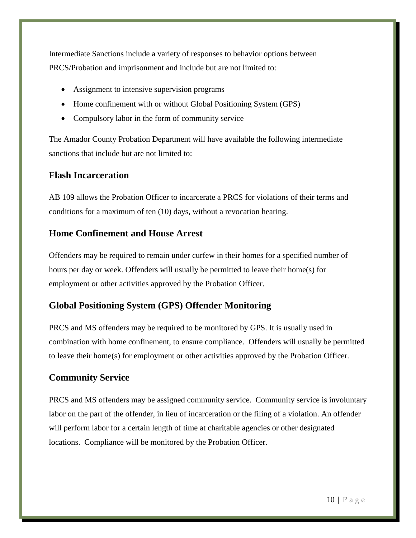Intermediate Sanctions include a variety of responses to behavior options between PRCS/Probation and imprisonment and include but are not limited to:

- Assignment to intensive supervision programs
- Home confinement with or without Global Positioning System (GPS)
- Compulsory labor in the form of community service

The Amador County Probation Department will have available the following intermediate sanctions that include but are not limited to:

### **Flash Incarceration**

AB 109 allows the Probation Officer to incarcerate a PRCS for violations of their terms and conditions for a maximum of ten (10) days, without a revocation hearing.

### **Home Confinement and House Arrest**

Offenders may be required to remain under curfew in their homes for a specified number of hours per day or week. Offenders will usually be permitted to leave their home(s) for employment or other activities approved by the Probation Officer.

### **Global Positioning System (GPS) Offender Monitoring**

PRCS and MS offenders may be required to be monitored by GPS. It is usually used in combination with home confinement, to ensure compliance. Offenders will usually be permitted to leave their home(s) for employment or other activities approved by the Probation Officer.

## **Community Service**

PRCS and MS offenders may be assigned community service. Community service is involuntary labor on the part of the offender, in lieu of incarceration or the filing of a violation. An offender will perform labor for a certain length of time at charitable agencies or other designated locations. Compliance will be monitored by the Probation Officer.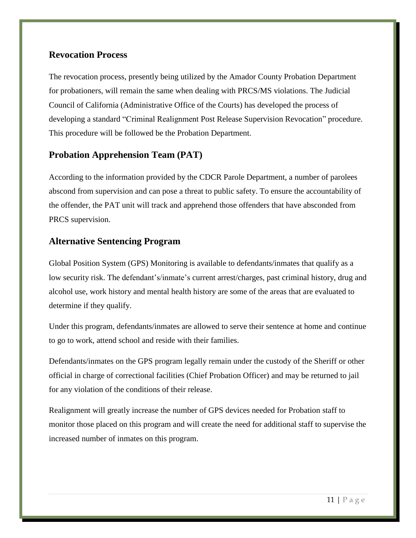#### **Revocation Process**

The revocation process, presently being utilized by the Amador County Probation Department for probationers, will remain the same when dealing with PRCS/MS violations. The Judicial Council of California (Administrative Office of the Courts) has developed the process of developing a standard "Criminal Realignment Post Release Supervision Revocation" procedure. This procedure will be followed be the Probation Department.

# **Probation Apprehension Team (PAT)**

According to the information provided by the CDCR Parole Department, a number of parolees abscond from supervision and can pose a threat to public safety. To ensure the accountability of the offender, the PAT unit will track and apprehend those offenders that have absconded from PRCS supervision.

#### **Alternative Sentencing Program**

Global Position System (GPS) Monitoring is available to defendants/inmates that qualify as a low security risk. The defendant's/inmate's current arrest/charges, past criminal history, drug and alcohol use, work history and mental health history are some of the areas that are evaluated to determine if they qualify.

Under this program, defendants/inmates are allowed to serve their sentence at home and continue to go to work, attend school and reside with their families.

Defendants/inmates on the GPS program legally remain under the custody of the Sheriff or other official in charge of correctional facilities (Chief Probation Officer) and may be returned to jail for any violation of the conditions of their release.

Realignment will greatly increase the number of GPS devices needed for Probation staff to monitor those placed on this program and will create the need for additional staff to supervise the increased number of inmates on this program.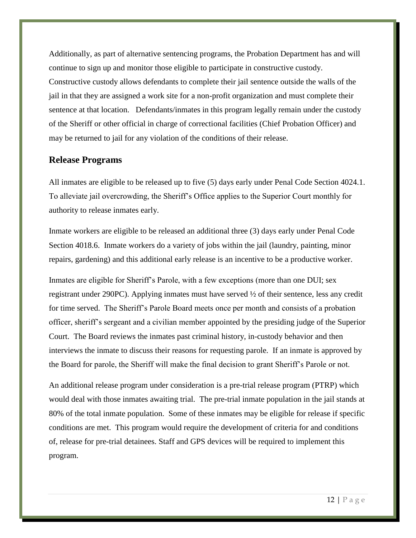Additionally, as part of alternative sentencing programs, the Probation Department has and will continue to sign up and monitor those eligible to participate in constructive custody. Constructive custody allows defendants to complete their jail sentence outside the walls of the jail in that they are assigned a work site for a non-profit organization and must complete their sentence at that location. Defendants/inmates in this program legally remain under the custody of the Sheriff or other official in charge of correctional facilities (Chief Probation Officer) and may be returned to jail for any violation of the conditions of their release.

#### **Release Programs**

All inmates are eligible to be released up to five (5) days early under Penal Code Section 4024.1. To alleviate jail overcrowding, the Sheriff's Office applies to the Superior Court monthly for authority to release inmates early.

Inmate workers are eligible to be released an additional three (3) days early under Penal Code Section 4018.6. Inmate workers do a variety of jobs within the jail (laundry, painting, minor repairs, gardening) and this additional early release is an incentive to be a productive worker.

Inmates are eligible for Sheriff's Parole, with a few exceptions (more than one DUI; sex registrant under 290PC). Applying inmates must have served ½ of their sentence, less any credit for time served. The Sheriff's Parole Board meets once per month and consists of a probation officer, sheriff's sergeant and a civilian member appointed by the presiding judge of the Superior Court. The Board reviews the inmates past criminal history, in-custody behavior and then interviews the inmate to discuss their reasons for requesting parole. If an inmate is approved by the Board for parole, the Sheriff will make the final decision to grant Sheriff's Parole or not.

An additional release program under consideration is a pre-trial release program (PTRP) which would deal with those inmates awaiting trial. The pre-trial inmate population in the jail stands at 80% of the total inmate population. Some of these inmates may be eligible for release if specific conditions are met. This program would require the development of criteria for and conditions of, release for pre-trial detainees. Staff and GPS devices will be required to implement this program.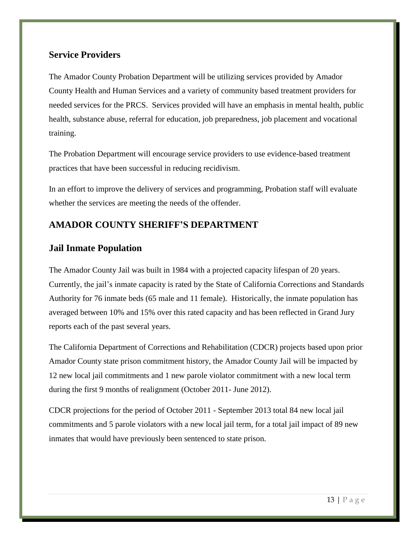#### **Service Providers**

The Amador County Probation Department will be utilizing services provided by Amador County Health and Human Services and a variety of community based treatment providers for needed services for the PRCS. Services provided will have an emphasis in mental health, public health, substance abuse, referral for education, job preparedness, job placement and vocational training.

The Probation Department will encourage service providers to use evidence-based treatment practices that have been successful in reducing recidivism.

In an effort to improve the delivery of services and programming, Probation staff will evaluate whether the services are meeting the needs of the offender.

# **AMADOR COUNTY SHERIFF'S DEPARTMENT**

# **Jail Inmate Population**

The Amador County Jail was built in 1984 with a projected capacity lifespan of 20 years. Currently, the jail's inmate capacity is rated by the State of California Corrections and Standards Authority for 76 inmate beds (65 male and 11 female). Historically, the inmate population has averaged between 10% and 15% over this rated capacity and has been reflected in Grand Jury reports each of the past several years.

The California Department of Corrections and Rehabilitation (CDCR) projects based upon prior Amador County state prison commitment history, the Amador County Jail will be impacted by 12 new local jail commitments and 1 new parole violator commitment with a new local term during the first 9 months of realignment (October 2011- June 2012).

CDCR projections for the period of October 2011 - September 2013 total 84 new local jail commitments and 5 parole violators with a new local jail term, for a total jail impact of 89 new inmates that would have previously been sentenced to state prison.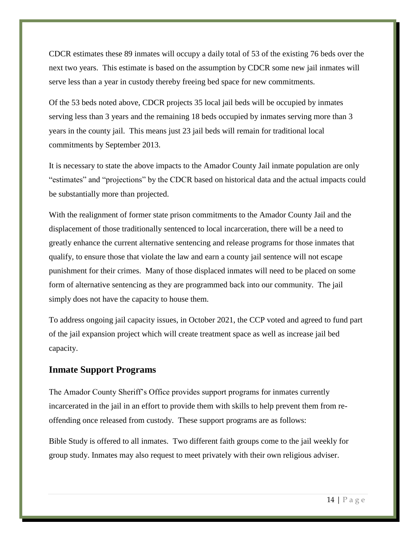CDCR estimates these 89 inmates will occupy a daily total of 53 of the existing 76 beds over the next two years. This estimate is based on the assumption by CDCR some new jail inmates will serve less than a year in custody thereby freeing bed space for new commitments.

Of the 53 beds noted above, CDCR projects 35 local jail beds will be occupied by inmates serving less than 3 years and the remaining 18 beds occupied by inmates serving more than 3 years in the county jail. This means just 23 jail beds will remain for traditional local commitments by September 2013.

It is necessary to state the above impacts to the Amador County Jail inmate population are only "estimates" and "projections" by the CDCR based on historical data and the actual impacts could be substantially more than projected.

With the realignment of former state prison commitments to the Amador County Jail and the displacement of those traditionally sentenced to local incarceration, there will be a need to greatly enhance the current alternative sentencing and release programs for those inmates that qualify, to ensure those that violate the law and earn a county jail sentence will not escape punishment for their crimes. Many of those displaced inmates will need to be placed on some form of alternative sentencing as they are programmed back into our community. The jail simply does not have the capacity to house them.

To address ongoing jail capacity issues, in October 2021, the CCP voted and agreed to fund part of the jail expansion project which will create treatment space as well as increase jail bed capacity.

#### **Inmate Support Programs**

The Amador County Sheriff's Office provides support programs for inmates currently incarcerated in the jail in an effort to provide them with skills to help prevent them from reoffending once released from custody. These support programs are as follows:

Bible Study is offered to all inmates. Two different faith groups come to the jail weekly for group study. Inmates may also request to meet privately with their own religious adviser.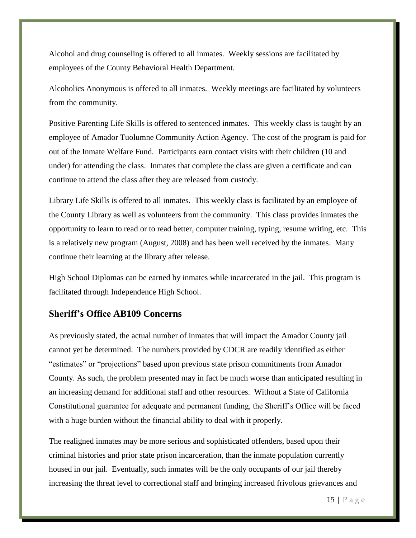Alcohol and drug counseling is offered to all inmates. Weekly sessions are facilitated by employees of the County Behavioral Health Department.

Alcoholics Anonymous is offered to all inmates. Weekly meetings are facilitated by volunteers from the community.

Positive Parenting Life Skills is offered to sentenced inmates. This weekly class is taught by an employee of Amador Tuolumne Community Action Agency. The cost of the program is paid for out of the Inmate Welfare Fund. Participants earn contact visits with their children (10 and under) for attending the class. Inmates that complete the class are given a certificate and can continue to attend the class after they are released from custody.

Library Life Skills is offered to all inmates. This weekly class is facilitated by an employee of the County Library as well as volunteers from the community. This class provides inmates the opportunity to learn to read or to read better, computer training, typing, resume writing, etc. This is a relatively new program (August, 2008) and has been well received by the inmates. Many continue their learning at the library after release.

High School Diplomas can be earned by inmates while incarcerated in the jail. This program is facilitated through Independence High School.

#### **Sheriff's Office AB109 Concerns**

As previously stated, the actual number of inmates that will impact the Amador County jail cannot yet be determined. The numbers provided by CDCR are readily identified as either "estimates" or "projections" based upon previous state prison commitments from Amador County. As such, the problem presented may in fact be much worse than anticipated resulting in an increasing demand for additional staff and other resources. Without a State of California Constitutional guarantee for adequate and permanent funding, the Sheriff's Office will be faced with a huge burden without the financial ability to deal with it properly.

The realigned inmates may be more serious and sophisticated offenders, based upon their criminal histories and prior state prison incarceration, than the inmate population currently housed in our jail. Eventually, such inmates will be the only occupants of our jail thereby increasing the threat level to correctional staff and bringing increased frivolous grievances and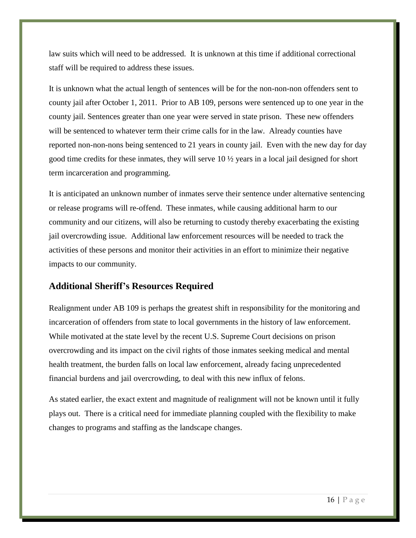law suits which will need to be addressed. It is unknown at this time if additional correctional staff will be required to address these issues.

It is unknown what the actual length of sentences will be for the non-non-non offenders sent to county jail after October 1, 2011. Prior to AB 109, persons were sentenced up to one year in the county jail. Sentences greater than one year were served in state prison. These new offenders will be sentenced to whatever term their crime calls for in the law. Already counties have reported non-non-nons being sentenced to 21 years in county jail. Even with the new day for day good time credits for these inmates, they will serve 10 ½ years in a local jail designed for short term incarceration and programming.

It is anticipated an unknown number of inmates serve their sentence under alternative sentencing or release programs will re-offend. These inmates, while causing additional harm to our community and our citizens, will also be returning to custody thereby exacerbating the existing jail overcrowding issue. Additional law enforcement resources will be needed to track the activities of these persons and monitor their activities in an effort to minimize their negative impacts to our community.

#### **Additional Sheriff's Resources Required**

Realignment under AB 109 is perhaps the greatest shift in responsibility for the monitoring and incarceration of offenders from state to local governments in the history of law enforcement. While motivated at the state level by the recent U.S. Supreme Court decisions on prison overcrowding and its impact on the civil rights of those inmates seeking medical and mental health treatment, the burden falls on local law enforcement, already facing unprecedented financial burdens and jail overcrowding, to deal with this new influx of felons.

As stated earlier, the exact extent and magnitude of realignment will not be known until it fully plays out. There is a critical need for immediate planning coupled with the flexibility to make changes to programs and staffing as the landscape changes.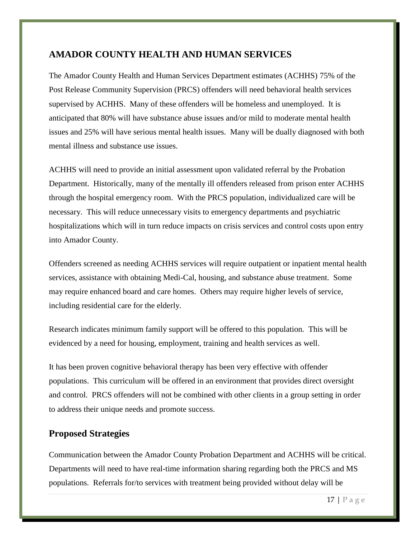### **AMADOR COUNTY HEALTH AND HUMAN SERVICES**

The Amador County Health and Human Services Department estimates (ACHHS) 75% of the Post Release Community Supervision (PRCS) offenders will need behavioral health services supervised by ACHHS. Many of these offenders will be homeless and unemployed. It is anticipated that 80% will have substance abuse issues and/or mild to moderate mental health issues and 25% will have serious mental health issues. Many will be dually diagnosed with both mental illness and substance use issues.

ACHHS will need to provide an initial assessment upon validated referral by the Probation Department. Historically, many of the mentally ill offenders released from prison enter ACHHS through the hospital emergency room. With the PRCS population, individualized care will be necessary. This will reduce unnecessary visits to emergency departments and psychiatric hospitalizations which will in turn reduce impacts on crisis services and control costs upon entry into Amador County.

Offenders screened as needing ACHHS services will require outpatient or inpatient mental health services, assistance with obtaining Medi-Cal, housing, and substance abuse treatment. Some may require enhanced board and care homes. Others may require higher levels of service, including residential care for the elderly.

Research indicates minimum family support will be offered to this population. This will be evidenced by a need for housing, employment, training and health services as well.

It has been proven cognitive behavioral therapy has been very effective with offender populations. This curriculum will be offered in an environment that provides direct oversight and control. PRCS offenders will not be combined with other clients in a group setting in order to address their unique needs and promote success.

### **Proposed Strategies**

Communication between the Amador County Probation Department and ACHHS will be critical. Departments will need to have real-time information sharing regarding both the PRCS and MS populations. Referrals for/to services with treatment being provided without delay will be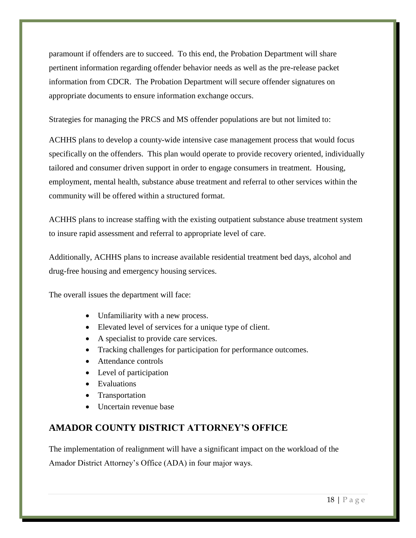paramount if offenders are to succeed. To this end, the Probation Department will share pertinent information regarding offender behavior needs as well as the pre-release packet information from CDCR. The Probation Department will secure offender signatures on appropriate documents to ensure information exchange occurs.

Strategies for managing the PRCS and MS offender populations are but not limited to:

ACHHS plans to develop a county-wide intensive case management process that would focus specifically on the offenders. This plan would operate to provide recovery oriented, individually tailored and consumer driven support in order to engage consumers in treatment. Housing, employment, mental health, substance abuse treatment and referral to other services within the community will be offered within a structured format.

ACHHS plans to increase staffing with the existing outpatient substance abuse treatment system to insure rapid assessment and referral to appropriate level of care.

Additionally, ACHHS plans to increase available residential treatment bed days, alcohol and drug-free housing and emergency housing services.

The overall issues the department will face:

- Unfamiliarity with a new process.
- Elevated level of services for a unique type of client.
- A specialist to provide care services.
- Tracking challenges for participation for performance outcomes.
- Attendance controls
- Level of participation
- Evaluations
- Transportation
- Uncertain revenue base

# **AMADOR COUNTY DISTRICT ATTORNEY'S OFFICE**

The implementation of realignment will have a significant impact on the workload of the Amador District Attorney's Office (ADA) in four major ways.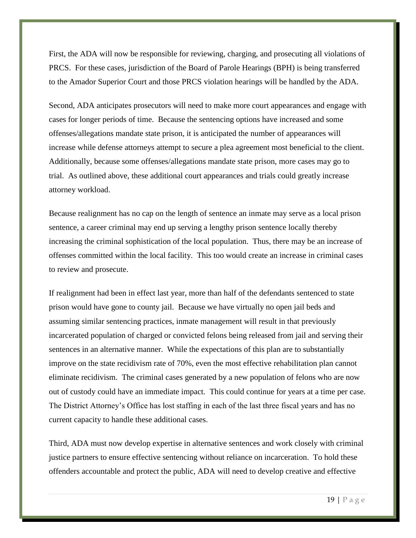First, the ADA will now be responsible for reviewing, charging, and prosecuting all violations of PRCS. For these cases, jurisdiction of the Board of Parole Hearings (BPH) is being transferred to the Amador Superior Court and those PRCS violation hearings will be handled by the ADA.

Second, ADA anticipates prosecutors will need to make more court appearances and engage with cases for longer periods of time. Because the sentencing options have increased and some offenses/allegations mandate state prison, it is anticipated the number of appearances will increase while defense attorneys attempt to secure a plea agreement most beneficial to the client. Additionally, because some offenses/allegations mandate state prison, more cases may go to trial. As outlined above, these additional court appearances and trials could greatly increase attorney workload.

Because realignment has no cap on the length of sentence an inmate may serve as a local prison sentence, a career criminal may end up serving a lengthy prison sentence locally thereby increasing the criminal sophistication of the local population. Thus, there may be an increase of offenses committed within the local facility. This too would create an increase in criminal cases to review and prosecute.

If realignment had been in effect last year, more than half of the defendants sentenced to state prison would have gone to county jail. Because we have virtually no open jail beds and assuming similar sentencing practices, inmate management will result in that previously incarcerated population of charged or convicted felons being released from jail and serving their sentences in an alternative manner. While the expectations of this plan are to substantially improve on the state recidivism rate of 70%, even the most effective rehabilitation plan cannot eliminate recidivism. The criminal cases generated by a new population of felons who are now out of custody could have an immediate impact. This could continue for years at a time per case. The District Attorney's Office has lost staffing in each of the last three fiscal years and has no current capacity to handle these additional cases.

Third, ADA must now develop expertise in alternative sentences and work closely with criminal justice partners to ensure effective sentencing without reliance on incarceration. To hold these offenders accountable and protect the public, ADA will need to develop creative and effective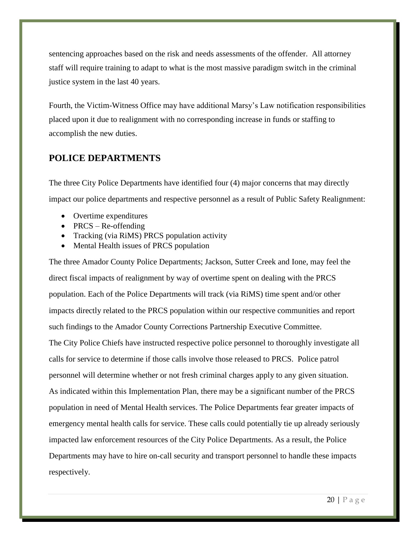sentencing approaches based on the risk and needs assessments of the offender. All attorney staff will require training to adapt to what is the most massive paradigm switch in the criminal justice system in the last 40 years.

Fourth, the Victim-Witness Office may have additional Marsy's Law notification responsibilities placed upon it due to realignment with no corresponding increase in funds or staffing to accomplish the new duties.

#### **POLICE DEPARTMENTS**

The three City Police Departments have identified four (4) major concerns that may directly impact our police departments and respective personnel as a result of Public Safety Realignment:

- Overtime expenditures
- PRCS Re-offending
- Tracking (via RiMS) PRCS population activity
- Mental Health issues of PRCS population

The three Amador County Police Departments; Jackson, Sutter Creek and Ione, may feel the direct fiscal impacts of realignment by way of overtime spent on dealing with the PRCS population. Each of the Police Departments will track (via RiMS) time spent and/or other impacts directly related to the PRCS population within our respective communities and report such findings to the Amador County Corrections Partnership Executive Committee. The City Police Chiefs have instructed respective police personnel to thoroughly investigate all calls for service to determine if those calls involve those released to PRCS. Police patrol personnel will determine whether or not fresh criminal charges apply to any given situation. As indicated within this Implementation Plan, there may be a significant number of the PRCS population in need of Mental Health services. The Police Departments fear greater impacts of emergency mental health calls for service. These calls could potentially tie up already seriously impacted law enforcement resources of the City Police Departments. As a result, the Police Departments may have to hire on-call security and transport personnel to handle these impacts respectively.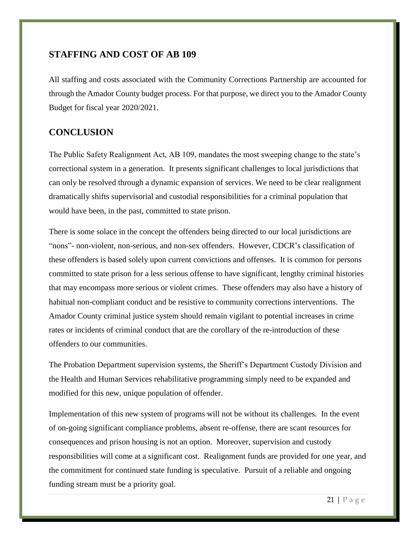#### **STAFFING AND COST OF AB 109**

All staffing and costs associated with the Community Corrections Partnership are accounted for through the Amador County budget process. For that purpose, we direct you to the Amador County Budget for fiscal year 2020/2021.

# **CONCLUSION**

The Public Safety Realignment Act, AB 109, mandates the most sweeping change to the state's correctional system in a generation. It presents significant challenges to local jurisdictions that can only be resolved through a dynamic expansion of services. We need to be clear realignment dramatically shifts supervisorial and custodial responsibilities for a criminal population that would have been, in the past, committed to state prison.

There is some solace in the concept the offenders being directed to our local jurisdictions are "nons"- non-violent, non-serious, and non-sex offenders. However, CDCR's classification of these offenders is based solely upon current convictions and offenses. It is common for persons committed to state prison for a less serious offense to have significant, lengthy criminal histories that may encompass more serious or violent crimes. These offenders may also have a history of habitual non-compliant conduct and be resistive to community corrections interventions. The Amador County criminal justice system should remain vigilant to potential increases in crime rates or incidents of criminal conduct that are the corollary of the re-introduction of these offenders to our communities.

The Probation Department supervision systems, the Sheriff's Department Custody Division and the Health and Human Services rehabilitative programming simply need to be expanded and modified for this new, unique population of offender.

Implementation of this new system of programs will not be without its challenges. In the event of on-going significant compliance problems, absent re-offense, there are scant resources for consequences and prison housing is not an option. Moreover, supervision and custody responsibilities will come at a significant cost. Realignment funds are provided for one year, and the commitment for continued state funding is speculative. Pursuit of a reliable and ongoing funding stream must be a priority goal.